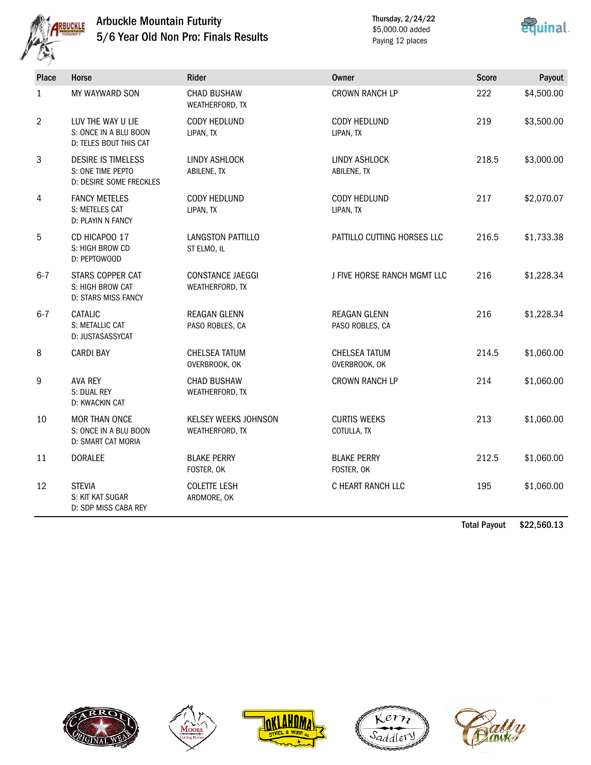

## Arbuckle Mountain Futurity 5/6 Year Old Non Pro: Finals Results

Thursday, 2/24/22 \$5,000.00 added Paying 12 places



| <b>Place</b> | Horse                                                                      | Rider                                   | <b>Owner</b>                           | <b>Score</b> | Payout     |
|--------------|----------------------------------------------------------------------------|-----------------------------------------|----------------------------------------|--------------|------------|
| $\mathbf{1}$ | MY WAYWARD SON                                                             | <b>CHAD BUSHAW</b><br>WEATHERFORD, TX   | <b>CROWN RANCH LP</b>                  | 222          | \$4,500.00 |
| 2            | LUV THE WAY U LIE<br>S: ONCE IN A BLU BOON<br>D: TELES BOUT THIS CAT       | <b>CODY HEDLUND</b><br>LIPAN, TX        | CODY HEDLUND<br>LIPAN, TX              | 219          | \$3,500.00 |
| 3            | <b>DESIRE IS TIMELESS</b><br>S: ONE TIME PEPTO<br>D: DESIRE SOME FRECKLES  | LINDY ASHLOCK<br>ABILENE, TX            | LINDY ASHLOCK<br>ABILENE, TX           | 218.5        | \$3,000.00 |
| 4            | <b>FANCY METELES</b><br>S: METELES CAT<br>D: PLAYIN N FANCY                | <b>CODY HEDLUND</b><br>LIPAN, TX        | CODY HEDLUND<br>LIPAN, TX              | 217          | \$2,070.07 |
| 5            | CD HICAPOO 17<br>S: HIGH BROW CD<br>D: PEPTOWOOD                           | <b>LANGSTON PATTILLO</b><br>ST ELMO, IL | PATTILLO CUTTING HORSES LLC            | 216.5        | \$1,733.38 |
| $6 - 7$      | STARS COPPER CAT<br>S: HIGH BROW CAT<br><b>D: STARS MISS FANCY</b>         | CONSTANCE JAEGGI<br>WEATHERFORD, TX     | J FIVE HORSE RANCH MGMT LLC            | 216          | \$1,228.34 |
| $6 - 7$      | CATALIC<br>S: METALLIC CAT<br>D: JUSTASASSYCAT                             | <b>REAGAN GLENN</b><br>PASO ROBLES, CA  | <b>REAGAN GLENN</b><br>PASO ROBLES, CA | 216          | \$1,228.34 |
| 8            | <b>CARDI BAY</b>                                                           | <b>CHELSEA TATUM</b><br>OVERBROOK, OK   | <b>CHELSEA TATUM</b><br>OVERBROOK, OK  | 214.5        | \$1,060.00 |
| 9            | <b>AVA REY</b><br>S: DUAL REY<br>D: KWACKIN CAT                            | <b>CHAD BUSHAW</b><br>WEATHERFORD, TX   | <b>CROWN RANCH LP</b>                  | 214          | \$1,060.00 |
| 10           | <b>MOR THAN ONCE</b><br>S: ONCE IN A BLU BOON<br><b>D: SMART CAT MORIA</b> | KELSEY WEEKS JOHNSON<br>WEATHERFORD, TX | <b>CURTIS WEEKS</b><br>COTULLA, TX     | 213          | \$1,060.00 |
| 11           | <b>DORALEE</b>                                                             | <b>BLAKE PERRY</b><br>FOSTER, OK        | <b>BLAKE PERRY</b><br>FOSTER, OK       | 212.5        | \$1,060.00 |
| 12           | <b>STEVIA</b><br>S: KIT KAT SUGAR<br>D: SDP MISS CABA REY                  | <b>COLETTE LESH</b><br>ARDMORE, OK      | C HEART RANCH LLC                      | 195          | \$1,060.00 |

Total Payout \$22,560.13









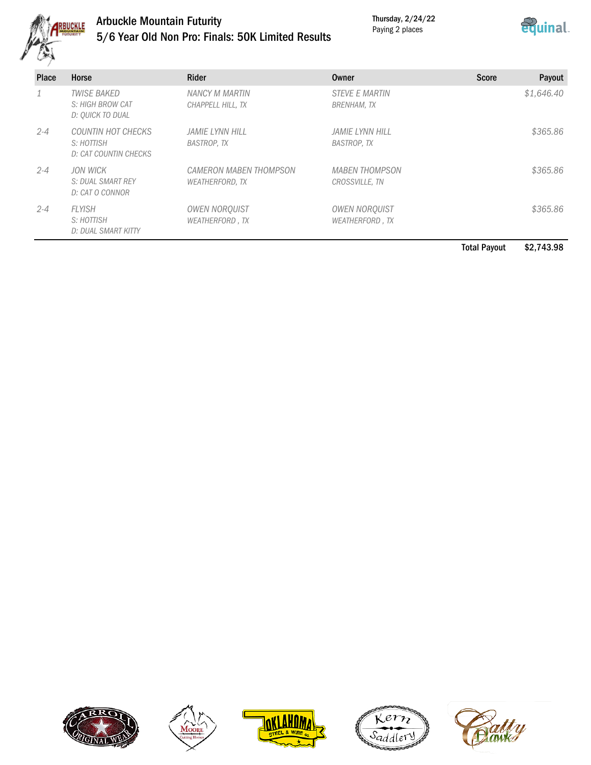

# Arbuckle Mountain Futurity 5/6 Year Old Non Pro: Finals: 50K Limited Results

Thursday, 2/24/22 Paying 2 places



| <b>Place</b> | Horse                                                      | Rider                                            | Owner                                          | <b>Score</b><br>Payout |
|--------------|------------------------------------------------------------|--------------------------------------------------|------------------------------------------------|------------------------|
|              | <b>TWISE BAKED</b><br>S: HIGH BROW CAT<br>D: OUICK TO DUAL | NANCY M MARTIN<br>CHAPPELL HILL, TX              | <b>STEVE E MARTIN</b><br><b>BRENHAM, TX</b>    | \$1,646.40             |
| $2 - 4$      | COUNTIN HOT CHECKS<br>S: HOTTISH<br>D: CAT COUNTIN CHECKS  | JAMIE LYNN HILL<br><b>BASTROP, TX</b>            | JAMIE LYNN HILL<br><b>BASTROP, TX</b>          | \$365.86               |
| $2 - 4$      | JON WICK<br>S: DUAL SMART REY<br>D: CAT O CONNOR           | CAMERON MABEN THOMPSON<br><b>WEATHERFORD, TX</b> | <b>MABEN THOMPSON</b><br>CROSSVILLE, TN        | \$365.86               |
| $2 - 4$      | FI YISH<br>S: HOTTISH<br>D: DUAL SMART KITTY               | <b>OWEN NOROUIST</b><br><b>WEATHERFORD, TX</b>   | <b>OWEN NORQUIST</b><br><b>WEATHERFORD, TX</b> | \$365.86               |

Total Payout \$2,743.98









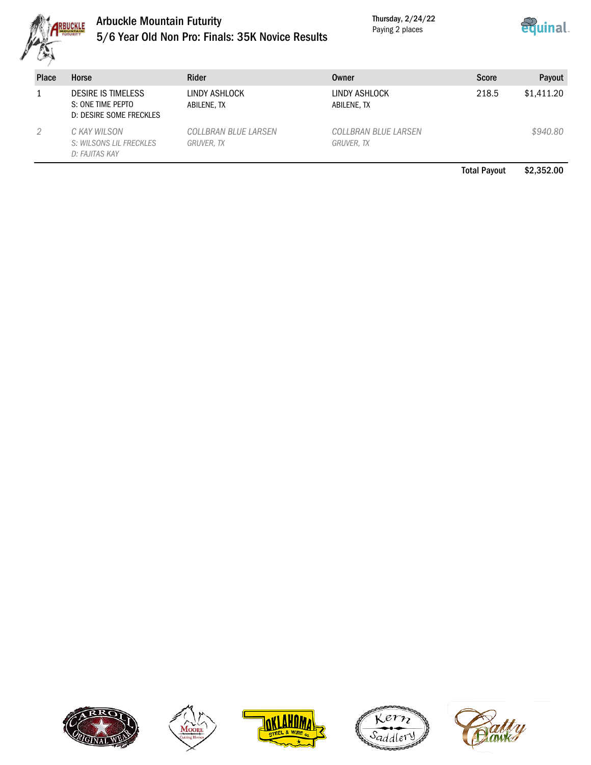

# Arbuckle Mountain Futurity 5/6 Year Old Non Pro: Finals: 35K Novice Results

Thursday, 2/24/22 Paying 2 places



| <b>Place</b> | Horse                                                                     | Rider                              | Owner                              | <b>Score</b>        | Payout     |
|--------------|---------------------------------------------------------------------------|------------------------------------|------------------------------------|---------------------|------------|
|              | <b>DESIRE IS TIMELESS</b><br>S: ONE TIME PEPTO<br>D: DESIRE SOME FRECKLES | LINDY ASHLOCK<br>ABILENE, TX       | LINDY ASHLOCK<br>ABILENE, TX       | 218.5               | \$1,411.20 |
|              | C KAY WILSON<br>S: WILSONS LIL FRECKLES<br>D: FAJITAS KAY                 | COLLBRAN BLUE LARSEN<br>GRUVER, TX | COLLBRAN BLUE LARSEN<br>GRUVER, TX |                     | \$940.80   |
|              |                                                                           |                                    |                                    | <b>Total Payout</b> | \$2,352,00 |









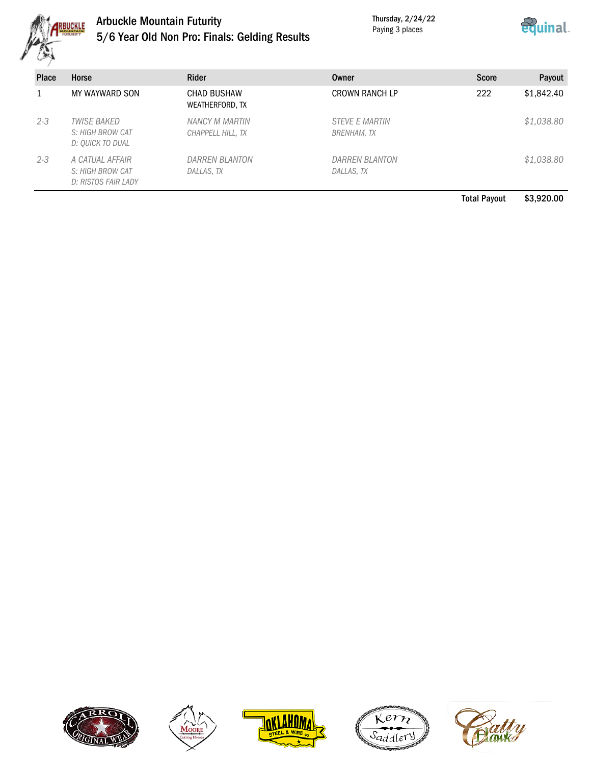

# Arbuckle Mountain Futurity 5/6 Year Old Non Pro: Finals: Gelding Results

Thursday, 2/24/22 Paying 3 places



| <b>Place</b> | Horse                                                             | Rider                                 | Owner                                | <b>Score</b> | Payout     |
|--------------|-------------------------------------------------------------------|---------------------------------------|--------------------------------------|--------------|------------|
|              | MY WAYWARD SON                                                    | <b>CHAD BUSHAW</b><br>WEATHERFORD, TX | <b>CROWN RANCH LP</b>                | 222          | \$1,842.40 |
| $2 - 3$      | <i><b>TWISE BAKED</b></i><br>S: HIGH BROW CAT<br>D: OUICK TO DUAL | NANCY M MARTIN<br>CHAPPELL HILL, TX   | <b>STEVE E MARTIN</b><br>BRENHAM, TX |              | \$1,038.80 |
| $2 - 3$      | A CATUAL AFFAIR<br>S: HIGH BROW CAT<br>D: RISTOS FAIR LADY        | <b>DARREN BLANTON</b><br>DALLAS, TX   | <b>DARREN BLANTON</b><br>DALLAS, TX  |              | \$1,038.80 |

Total Payout \$3,920.00









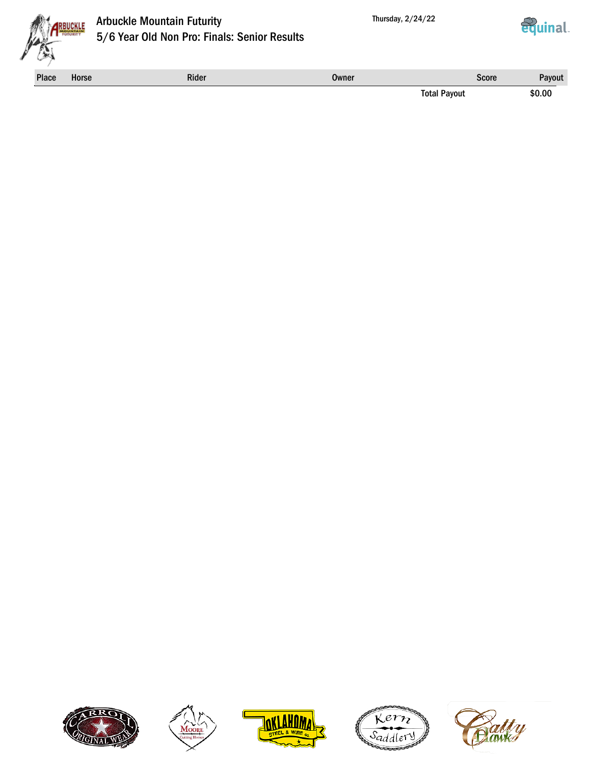



# Arbuckle Mountain Futurity 5/6 Year Old Non Pro: Finals: Senior Results



Place Horse **Rider Rider Score** Rider Score Payout Score Rayout Score Rayout Score Rayout